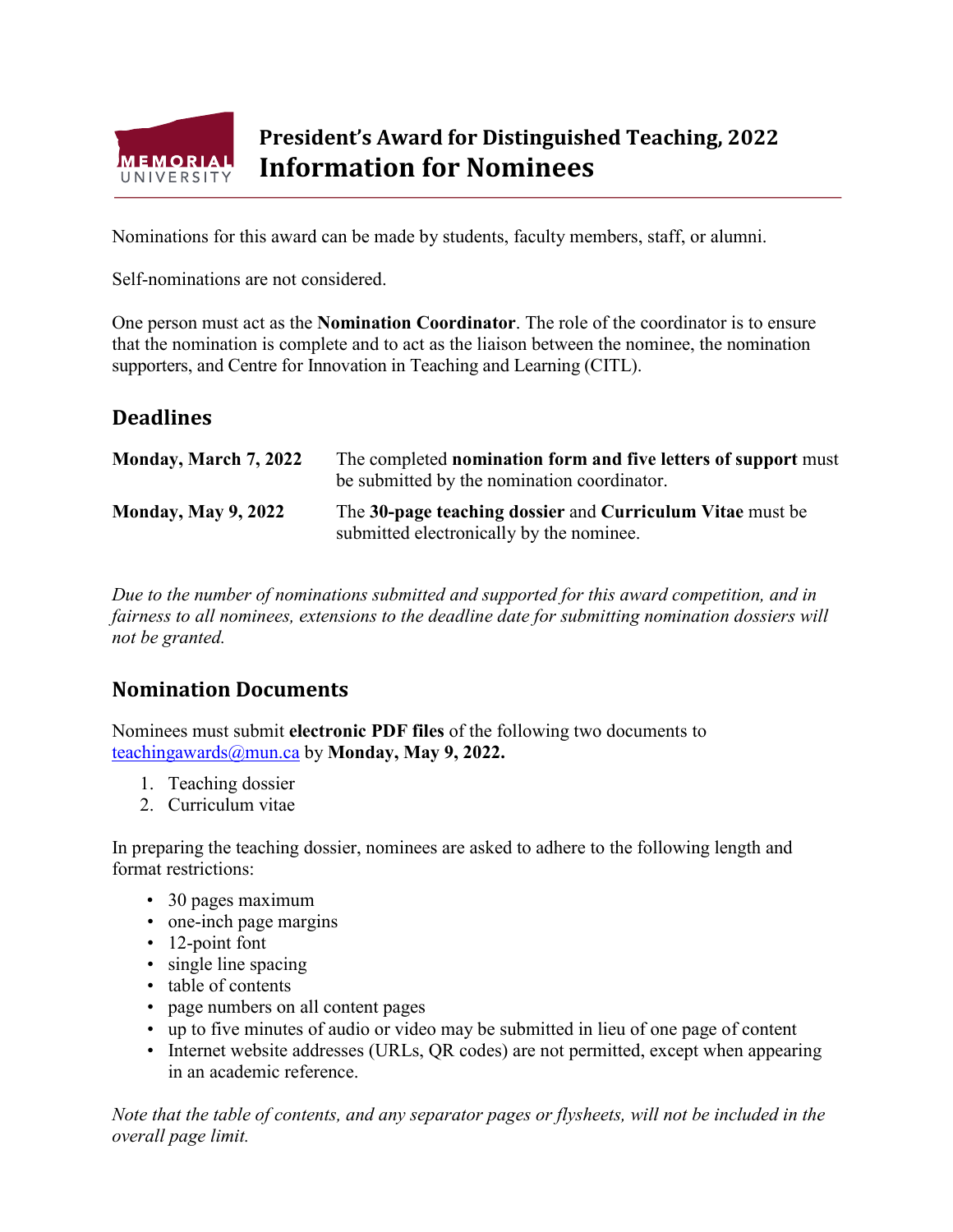

## **President's Award for Distinguished Teaching, 2022 Information for Nominees**

Nominations for this award can be made by students, faculty members, staff, or alumni.

Self-nominations are not considered.

One person must act as the **Nomination Coordinator**. The role of the coordinator is to ensure that the nomination is complete and to act as the liaison between the nominee, the nomination supporters, and Centre for Innovation in Teaching and Learning (CITL).

## **Deadlines**

| Monday, March 7, 2022      | The completed nomination form and five letters of support must<br>be submitted by the nomination coordinator. |
|----------------------------|---------------------------------------------------------------------------------------------------------------|
| <b>Monday, May 9, 2022</b> | The 30-page teaching dossier and Curriculum Vitae must be<br>submitted electronically by the nominee.         |

*Due to the number of nominations submitted and supported for this award competition, and in fairness to all nominees, extensions to the deadline date for submitting nomination dossiers will not be granted.*

## **Nomination Documents**

Nominees must submit **electronic PDF files** of the following two documents to [teachingawards@mun.ca](mailto:teachingawards@mun.ca) by **Monday, May 9, 2022.**

- 1. Teaching dossier
- 2. Curriculum vitae

In preparing the teaching dossier, nominees are asked to adhere to the following length and format restrictions:

- 30 pages maximum
- one-inch page margins
- 12-point font
- single line spacing
- table of contents
- page numbers on all content pages
- up to five minutes of audio or video may be submitted in lieu of one page of content
- Internet website addresses (URLs, QR codes) are not permitted, except when appearing in an academic reference.

*Note that the table of contents, and any separator pages or flysheets, will not be included in the overall page limit.*